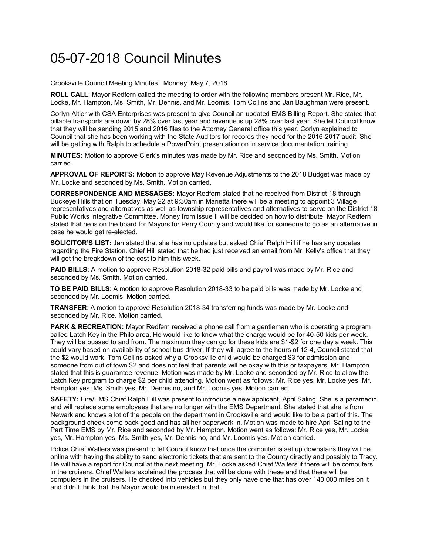## 05-07-2018 Council Minutes

Crooksville Council Meeting Minutes Monday, May 7, 2018

**ROLL CALL**: Mayor Redfern called the meeting to order with the following members present Mr. Rice, Mr. Locke, Mr. Hampton, Ms. Smith, Mr. Dennis, and Mr. Loomis. Tom Collins and Jan Baughman were present.

Corlyn Altier with CSA Enterprises was present to give Council an updated EMS Billing Report. She stated that billable transports are down by 28% over last year and revenue is up 28% over last year. She let Council know that they will be sending 2015 and 2016 files to the Attorney General office this year. Corlyn explained to Council that she has been working with the State Auditors for records they need for the 2016-2017 audit. She will be getting with Ralph to schedule a PowerPoint presentation on in service documentation training.

**MINUTES:** Motion to approve Clerk's minutes was made by Mr. Rice and seconded by Ms. Smith. Motion carried.

**APPROVAL OF REPORTS:** Motion to approve May Revenue Adjustments to the 2018 Budget was made by Mr. Locke and seconded by Ms. Smith. Motion carried.

**CORRESPONDENCE AND MESSAGES:** Mayor Redfern stated that he received from District 18 through Buckeye Hills that on Tuesday, May 22 at 9:30am in Marietta there will be a meeting to appoint 3 Village representatives and alternatives as well as township representatives and alternatives to serve on the District 18 Public Works Integrative Committee. Money from issue II will be decided on how to distribute. Mayor Redfern stated that he is on the board for Mayors for Perry County and would like for someone to go as an alternative in case he would get re-elected.

**SOLICITOR'S LIST:** Jan stated that she has no updates but asked Chief Ralph Hill if he has any updates regarding the Fire Station. Chief Hill stated that he had just received an email from Mr. Kelly's office that they will get the breakdown of the cost to him this week.

**PAID BILLS**: A motion to approve Resolution 2018-32 paid bills and payroll was made by Mr. Rice and seconded by Ms. Smith. Motion carried.

**TO BE PAID BILLS**: A motion to approve Resolution 2018-33 to be paid bills was made by Mr. Locke and seconded by Mr. Loomis. Motion carried.

**TRANSFER**: A motion to approve Resolution 2018-34 transferring funds was made by Mr. Locke and seconded by Mr. Rice. Motion carried.

**PARK & RECREATION:** Mayor Redfern received a phone call from a gentleman who is operating a program called Latch Key in the Philo area. He would like to know what the charge would be for 40-50 kids per week. They will be bussed to and from. The maximum they can go for these kids are \$1-\$2 for one day a week. This could vary based on availability of school bus driver. If they will agree to the hours of 12-4, Council stated that the \$2 would work. Tom Collins asked why a Crooksville child would be charged \$3 for admission and someone from out of town \$2 and does not feel that parents will be okay with this or taxpayers. Mr. Hampton stated that this is guarantee revenue. Motion was made by Mr. Locke and seconded by Mr. Rice to allow the Latch Key program to charge \$2 per child attending. Motion went as follows: Mr. Rice yes, Mr. Locke yes, Mr. Hampton yes, Ms. Smith yes, Mr. Dennis no, and Mr. Loomis yes. Motion carried.

**SAFETY:** Fire/EMS Chief Ralph Hill was present to introduce a new applicant, April Saling. She is a paramedic and will replace some employees that are no longer with the EMS Department. She stated that she is from Newark and knows a lot of the people on the department in Crooksville and would like to be a part of this. The background check come back good and has all her paperwork in. Motion was made to hire April Saling to the Part Time EMS by Mr. Rice and seconded by Mr. Hampton. Motion went as follows: Mr. Rice yes, Mr. Locke yes, Mr. Hampton yes, Ms. Smith yes, Mr. Dennis no, and Mr. Loomis yes. Motion carried.

Police Chief Walters was present to let Council know that once the computer is set up downstairs they will be online with having the ability to send electronic tickets that are sent to the County directly and possibly to Tracy. He will have a report for Council at the next meeting. Mr. Locke asked Chief Walters if there will be computers in the cruisers. Chief Walters explained the process that will be done with these and that there will be computers in the cruisers. He checked into vehicles but they only have one that has over 140,000 miles on it and didn't think that the Mayor would be interested in that.